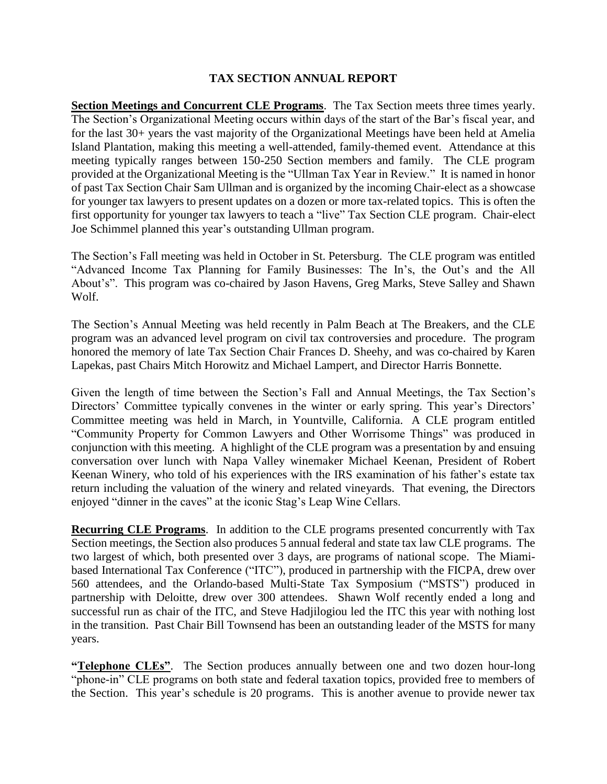## **TAX SECTION ANNUAL REPORT**

**Section Meetings and Concurrent CLE Programs**. The Tax Section meets three times yearly. The Section's Organizational Meeting occurs within days of the start of the Bar's fiscal year, and for the last 30+ years the vast majority of the Organizational Meetings have been held at Amelia Island Plantation, making this meeting a well-attended, family-themed event. Attendance at this meeting typically ranges between 150-250 Section members and family. The CLE program provided at the Organizational Meeting is the "Ullman Tax Year in Review." It is named in honor of past Tax Section Chair Sam Ullman and is organized by the incoming Chair-elect as a showcase for younger tax lawyers to present updates on a dozen or more tax-related topics. This is often the first opportunity for younger tax lawyers to teach a "live" Tax Section CLE program. Chair-elect Joe Schimmel planned this year's outstanding Ullman program.

The Section's Fall meeting was held in October in St. Petersburg. The CLE program was entitled "Advanced Income Tax Planning for Family Businesses: The In's, the Out's and the All About's". This program was co-chaired by Jason Havens, Greg Marks, Steve Salley and Shawn Wolf.

The Section's Annual Meeting was held recently in Palm Beach at The Breakers, and the CLE program was an advanced level program on civil tax controversies and procedure. The program honored the memory of late Tax Section Chair Frances D. Sheehy, and was co-chaired by Karen Lapekas, past Chairs Mitch Horowitz and Michael Lampert, and Director Harris Bonnette.

Given the length of time between the Section's Fall and Annual Meetings, the Tax Section's Directors' Committee typically convenes in the winter or early spring. This year's Directors' Committee meeting was held in March, in Yountville, California. A CLE program entitled "Community Property for Common Lawyers and Other Worrisome Things" was produced in conjunction with this meeting. A highlight of the CLE program was a presentation by and ensuing conversation over lunch with Napa Valley winemaker Michael Keenan, President of Robert Keenan Winery, who told of his experiences with the IRS examination of his father's estate tax return including the valuation of the winery and related vineyards. That evening, the Directors enjoyed "dinner in the caves" at the iconic Stag's Leap Wine Cellars.

**Recurring CLE Programs**. In addition to the CLE programs presented concurrently with Tax Section meetings, the Section also produces 5 annual federal and state tax law CLE programs. The two largest of which, both presented over 3 days, are programs of national scope. The Miamibased International Tax Conference ("ITC"), produced in partnership with the FICPA, drew over 560 attendees, and the Orlando-based Multi-State Tax Symposium ("MSTS") produced in partnership with Deloitte, drew over 300 attendees. Shawn Wolf recently ended a long and successful run as chair of the ITC, and Steve Hadjilogiou led the ITC this year with nothing lost in the transition. Past Chair Bill Townsend has been an outstanding leader of the MSTS for many years.

**"Telephone CLEs"**.The Section produces annually between one and two dozen hour-long "phone-in" CLE programs on both state and federal taxation topics, provided free to members of the Section. This year's schedule is 20 programs. This is another avenue to provide newer tax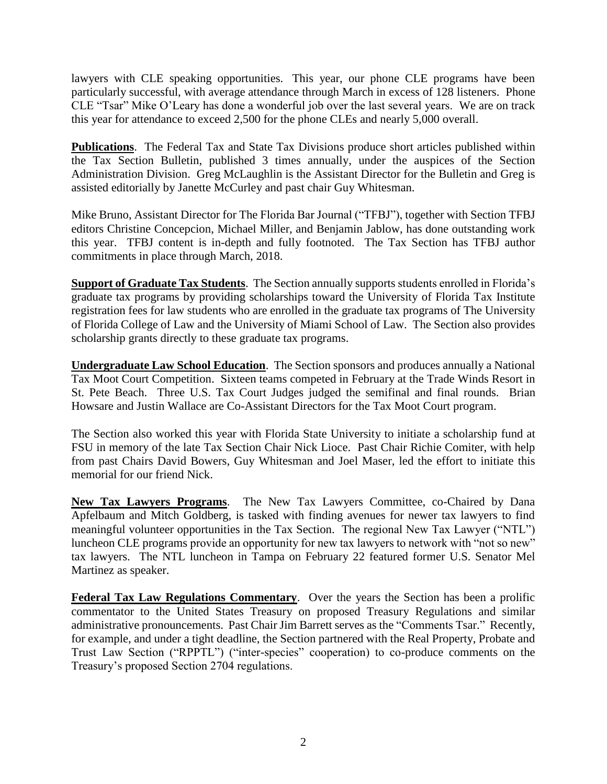lawyers with CLE speaking opportunities. This year, our phone CLE programs have been particularly successful, with average attendance through March in excess of 128 listeners. Phone CLE "Tsar" Mike O'Leary has done a wonderful job over the last several years. We are on track this year for attendance to exceed 2,500 for the phone CLEs and nearly 5,000 overall.

**Publications**. The Federal Tax and State Tax Divisions produce short articles published within the Tax Section Bulletin, published 3 times annually, under the auspices of the Section Administration Division. Greg McLaughlin is the Assistant Director for the Bulletin and Greg is assisted editorially by Janette McCurley and past chair Guy Whitesman.

Mike Bruno, Assistant Director for The Florida Bar Journal ("TFBJ"), together with Section TFBJ editors Christine Concepcion, Michael Miller, and Benjamin Jablow, has done outstanding work this year. TFBJ content is in-depth and fully footnoted. The Tax Section has TFBJ author commitments in place through March, 2018.

**Support of Graduate Tax Students**. The Section annually supports students enrolled in Florida's graduate tax programs by providing scholarships toward the University of Florida Tax Institute registration fees for law students who are enrolled in the graduate tax programs of The University of Florida College of Law and the University of Miami School of Law. The Section also provides scholarship grants directly to these graduate tax programs.

**Undergraduate Law School Education**. The Section sponsors and produces annually a National Tax Moot Court Competition. Sixteen teams competed in February at the Trade Winds Resort in St. Pete Beach. Three U.S. Tax Court Judges judged the semifinal and final rounds. Brian Howsare and Justin Wallace are Co-Assistant Directors for the Tax Moot Court program.

The Section also worked this year with Florida State University to initiate a scholarship fund at FSU in memory of the late Tax Section Chair Nick Lioce. Past Chair Richie Comiter, with help from past Chairs David Bowers, Guy Whitesman and Joel Maser, led the effort to initiate this memorial for our friend Nick.

**New Tax Lawyers Programs**. The New Tax Lawyers Committee, co-Chaired by Dana Apfelbaum and Mitch Goldberg, is tasked with finding avenues for newer tax lawyers to find meaningful volunteer opportunities in the Tax Section. The regional New Tax Lawyer ("NTL") luncheon CLE programs provide an opportunity for new tax lawyers to network with "not so new" tax lawyers. The NTL luncheon in Tampa on February 22 featured former U.S. Senator Mel Martinez as speaker.

**Federal Tax Law Regulations Commentary**. Over the years the Section has been a prolific commentator to the United States Treasury on proposed Treasury Regulations and similar administrative pronouncements. Past Chair Jim Barrett serves as the "Comments Tsar." Recently, for example, and under a tight deadline, the Section partnered with the Real Property, Probate and Trust Law Section ("RPPTL") ("inter-species" cooperation) to co-produce comments on the Treasury's proposed Section 2704 regulations.